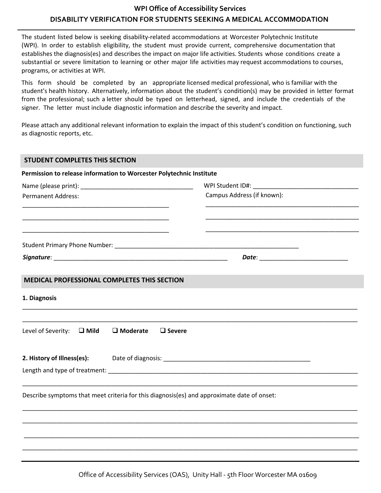## **WPI Office of Accessibility Services DISABILITY VERIFICATION FOR STUDENTS SEEKING A MEDICAL ACCOMMODATION**

The student listed below is seeking disability-related accommodations at Worcester Polytechnic Institute (WPI). In order to establish eligibility, the student must provide current, comprehensive documentation that establishes the diagnosis(es) and describes the impact on major life activities. Students whose conditions create a substantial or severe limitation to learning or other major life activities may request accommodations to courses, programs, or activities at WPI.

This form should be completed by an appropriate licensed medical professional, who is familiar with the student's health history. Alternatively, information about the student's condition(s) may be provided in letter format from the professional; such a letter should be typed on letterhead, signed, and include the credentials of the signer. The letter must include diagnostic information and describe the severity and impact.

Please attach any additional relevant information to explain the impact of this student's condition on functioning, such as diagnostic reports, etc.

| <b>STUDENT COMPLETES THIS SECTION</b>                                                                                                                                                                                         |                                     |                                |  |
|-------------------------------------------------------------------------------------------------------------------------------------------------------------------------------------------------------------------------------|-------------------------------------|--------------------------------|--|
| Permission to release information to Worcester Polytechnic Institute                                                                                                                                                          |                                     |                                |  |
|                                                                                                                                                                                                                               |                                     | WPI Student ID#: New York 2014 |  |
| <b>Permanent Address:</b>                                                                                                                                                                                                     |                                     | Campus Address (if known):     |  |
| the control of the control of the control of the control of the control of the control of the control of the control of the control of the control of the control of the control of the control of the control of the control |                                     |                                |  |
|                                                                                                                                                                                                                               |                                     |                                |  |
|                                                                                                                                                                                                                               |                                     |                                |  |
| <b>MEDICAL PROFESSIONAL COMPLETES THIS SECTION</b>                                                                                                                                                                            |                                     |                                |  |
| 1. Diagnosis                                                                                                                                                                                                                  |                                     |                                |  |
| Level of Severity: $\Box$ Mild                                                                                                                                                                                                | $\square$ Moderate<br>$\Box$ Severe |                                |  |
| 2. History of Illness(es):                                                                                                                                                                                                    |                                     |                                |  |
|                                                                                                                                                                                                                               |                                     |                                |  |
| Describe symptoms that meet criteria for this diagnosis(es) and approximate date of onset:                                                                                                                                    |                                     |                                |  |
|                                                                                                                                                                                                                               |                                     |                                |  |
|                                                                                                                                                                                                                               |                                     |                                |  |
|                                                                                                                                                                                                                               |                                     |                                |  |
|                                                                                                                                                                                                                               |                                     |                                |  |